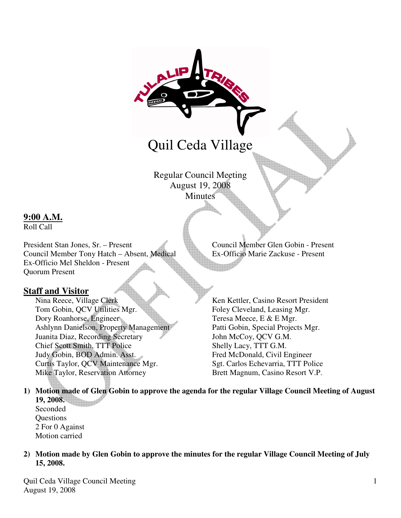

# Quil Ceda Village

Regular Council Meeting August 19, 2008 **Minutes** 

# **9:00 A.M.**

Roll Call

President Stan Jones, Sr. – Present Council Member Glen Gobin - Present Council Member Tony Hatch – Absent, Medical Ex-Officio Marie Zackuse - Present Council Member Tony Hatch – Absent, Medical Ex-Officio Mel Sheldon - Present Quorum Present

# **Staff and Visitor**

Nina Reece, Village Clerk Ken Kettler, Casino Resort President Tom Gobin, QCV Utilities Mgr. Foley Cleveland, Leasing Mgr. Dory Roanhorse, Engineer Teresa Meece, E & E Mgr. Ashlynn Danielson, Property Management Patti Gobin, Special Projects Mgr. Juanita Diaz, Recording Secretary John McCoy, QCV G.M. Chief Scott Smith, TTT Police Shelly Lacy, TTT G.M. Judy Gobin, BOD Admin. Asst. Fred McDonald, Civil Engineer Curtis Taylor, QCV Maintenance Mgr. Sgt. Carlos Echevarria, TTT Police Mike Taylor, Reservation Attorney Brett Magnum, Casino Resort V.P.

**1) Motion made of Glen Gobin to approve the agenda for the regular Village Council Meeting of August 19, 2008.** 

Seconded **Questions** 2 For 0 Against Motion carried

**2) Motion made by Glen Gobin to approve the minutes for the regular Village Council Meeting of July 15, 2008.** 

Quil Ceda Village Council Meeting August 19, 2008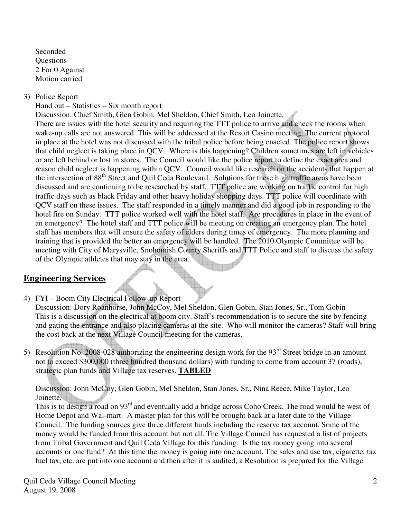Seconded **Ouestions** 2 For 0 Against Motion carried

# 3) Police Report

Hand out – Statistics – Six month report

Discussion: Chief Smith, Glen Gobin, Mel Sheldon, Chief Smith, Leo Joinette,

There are issues with the hotel security and requiring the TTT police to arrive and check the rooms when wake-up calls are not answered. This will be addressed at the Resort Casino meeting. The current protocol in place at the hotel was not discussed with the tribal police before being enacted. The police report shows that child neglect is taking place in QCV. Where is this happening? Children sometimes are left in vehicles or are left behind or lost in stores. The Council would like the police report to define the exact area and reason child neglect is happening within QCV. Council would like research on the accidents that happen at the intersection of 88<sup>th</sup> Street and Quil Ceda Boulevard. Solutions for these high traffic areas have been discussed and are continuing to be researched by staff. TTT police are working on traffic control for high traffic days such as black Friday and other heavy holiday shopping days. TTT police will coordinate with QCV staff on these issues. The staff responded in a timely manner and did a good job in responding to the hotel fire on Sunday. TTT police worked well with the hotel staff. Are procedures in place in the event of an emergency? The hotel staff and TTT police will be meeting on creating an emergency plan. The hotel staff has members that will ensure the safety of elders during times of emergency. The more planning and training that is provided the better an emergency will be handled. The 2010 Olympic Committee will be meeting with City of Marysville, Snohomish County Sheriffs and TTT Police and staff to discuss the safety of the Olympic athletes that may stay in the area.

# **Engineering Services**

4) FYI – Boom City Electrical Follow-up Report

 Discussion: Dory Roanhorse, John McCoy, Mel Sheldon, Glen Gobin, Stan Jones, Sr., Tom Gobin This is a discussion on the electrical at boom city. Staff's recommendation is to secure the site by fencing and gating the entrance and also placing cameras at the site. Who will monitor the cameras? Staff will bring the cost back at the next Village Council meeting for the cameras.

5) Resolution No. 2008-028 authorizing the engineering design work for the  $93<sup>rd</sup>$  Street bridge in an amount not to exceed \$300,000 (three hundred thousand dollars) with funding to come from account 37 (roads), strategic plan funds and Village tax reserves. **TABLED**

Discussion: John McCoy, Glen Gobin, Mel Sheldon, Stan Jones, Sr., Nina Reece, Mike Taylor, Leo Joinette,

This is to design a road on 93<sup>rd</sup> and eventually add a bridge across Coho Creek. The road would be west of Home Depot and Wal-mart. A master plan for this will be brought back at a later date to the Village Council. The funding sources give three different funds including the reserve tax account. Some of the money would be funded from this account but not all. The Village Council has requested a list of projects from Tribal Government and Quil Ceda Village for this funding. Is the tax money going into several accounts or one fund? At this time the money is going into one account. The sales and use tax, cigarette, tax fuel tax, etc. are put into one account and then after it is audited, a Resolution is prepared for the Village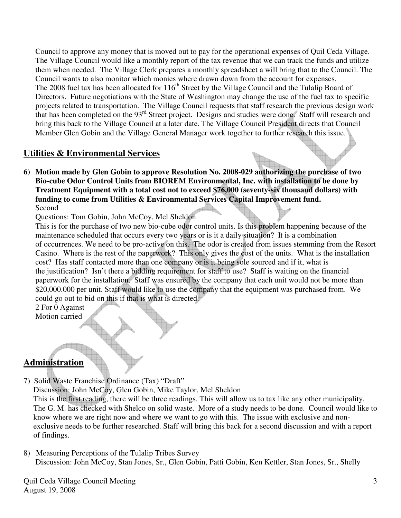Council to approve any money that is moved out to pay for the operational expenses of Quil Ceda Village. The Village Council would like a monthly report of the tax revenue that we can track the funds and utilize them when needed. The Village Clerk prepares a monthly spreadsheet a will bring that to the Council. The Council wants to also monitor which monies where drawn down from the account for expenses. The 2008 fuel tax has been allocated for  $116<sup>th</sup>$  Street by the Village Council and the Tulalip Board of Directors. Future negotiations with the State of Washington may change the use of the fuel tax to specific projects related to transportation. The Village Council requests that staff research the previous design work that has been completed on the 93<sup>rd</sup> Street project. Designs and studies were done. Staff will research and bring this back to the Village Council at a later date. The Village Council President directs that Council Member Glen Gobin and the Village General Manager work together to further research this issue.

# **Utilities & Environmental Services**

**6) Motion made by Glen Gobin to approve Resolution No. 2008-029 authorizing the purchase of two Bio-cube Odor Control Units from BIOREM Environmental, Inc. with installation to be done by Treatment Equipment with a total cost not to exceed \$76,000 (seventy-six thousand dollars) with funding to come from Utilities & Environmental Services Capital Improvement fund.**  Second

Questions: Tom Gobin, John McCoy, Mel Sheldon

 This is for the purchase of two new bio-cube odor control units. Is this problem happening because of the maintenance scheduled that occurs every two years or is it a daily situation? It is a combination of occurrences. We need to be pro-active on this. The odor is created from issues stemming from the Resort Casino. Where is the rest of the paperwork? This only gives the cost of the units. What is the installation cost? Has staff contacted more than one company or is it being sole sourced and if it, what is the justification? Isn't there a bidding requirement for staff to use? Staff is waiting on the financial paperwork for the installation. Staff was ensured by the company that each unit would not be more than \$20,000.000 per unit. Staff would like to use the company that the equipment was purchased from. We could go out to bid on this if that is what is directed.

2 For 0 Against

Motion carried

# **Administration**

- 7) Solid Waste Franchise Ordinance (Tax) "Draft" Discussion: John McCoy, Glen Gobin, Mike Taylor, Mel Sheldon This is the first reading, there will be three readings. This will allow us to tax like any other municipality. The G. M. has checked with Shelco on solid waste. More of a study needs to be done. Council would like to know where we are right now and where we want to go with this. The issue with exclusive and non exclusive needs to be further researched. Staff will bring this back for a second discussion and with a report of findings.
- 8) Measuring Perceptions of the Tulalip Tribes Survey Discussion: John McCoy, Stan Jones, Sr., Glen Gobin, Patti Gobin, Ken Kettler, Stan Jones, Sr., Shelly

Quil Ceda Village Council Meeting August 19, 2008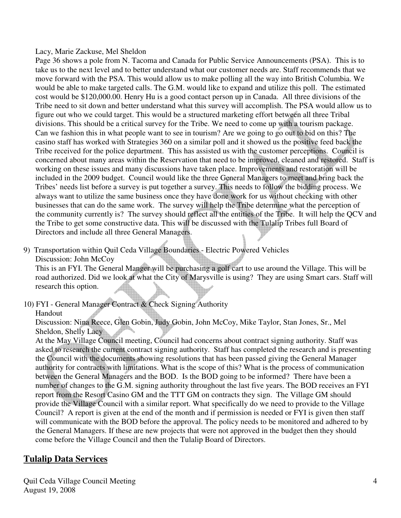#### Lacy, Marie Zackuse, Mel Sheldon

 Page 36 shows a pole from N. Tacoma and Canada for Public Service Announcements (PSA). This is to take us to the next level and to better understand what our customer needs are. Staff recommends that we move forward with the PSA. This would allow us to make polling all the way into British Columbia. We would be able to make targeted calls. The G.M. would like to expand and utilize this poll. The estimated cost would be \$120,000.00. Henry Hu is a good contact person up in Canada. All three divisions of the Tribe need to sit down and better understand what this survey will accomplish. The PSA would allow us to figure out who we could target. This would be a structured marketing effort between all three Tribal divisions. This should be a critical survey for the Tribe. We need to come up with a tourism package. Can we fashion this in what people want to see in tourism? Are we going to go out to bid on this? The casino staff has worked with Strategies 360 on a similar poll and it showed us the positive feed back the Tribe received for the police department. This has assisted us with the customer perceptions. Council is concerned about many areas within the Reservation that need to be improved, cleaned and restored. Staff is working on these issues and many discussions have taken place. Improvements and restoration will be included in the 2009 budget. Council would like the three General Managers to meet and bring back the Tribes' needs list before a survey is put together a survey. This needs to follow the bidding process. We always want to utilize the same business once they have done work for us without checking with other businesses that can do the same work. The survey will help the Tribe determine what the perception of the community currently is? The survey should reflect all the entities of the Tribe. It will help the QCV and the Tribe to get some constructive data. This will be discussed with the Tulalip Tribes full Board of Directors and include all three General Managers.

- 9) Transportation within Quil Ceda Village Boundaries Electric Powered Vehicles
	- Discussion: John McCoy

 This is an FYI. The General Manger will be purchasing a golf cart to use around the Village. This will be road authorized. Did we look at what the City of Marysville is using? They are using Smart cars. Staff will research this option.

10) FYI - General Manager Contract & Check Signing Authority

#### Handout

 Discussion: Nina Reece, Glen Gobin, Judy Gobin, John McCoy, Mike Taylor, Stan Jones, Sr., Mel Sheldon, Shelly Lacy

 At the May Village Council meeting, Council had concerns about contract signing authority. Staff was asked to research the current contract signing authority. Staff has completed the research and is presenting the Council with the documents showing resolutions that has been passed giving the General Manager authority for contracts with limitations. What is the scope of this? What is the process of communication between the General Managers and the BOD. Is the BOD going to be informed? There have been a number of changes to the G.M. signing authority throughout the last five years. The BOD receives an FYI report from the Resort Casino GM and the TTT GM on contracts they sign. The Village GM should provide the Village Council with a similar report. What specifically do we need to provide to the Village Council? A report is given at the end of the month and if permission is needed or FYI is given then staff will communicate with the BOD before the approval. The policy needs to be monitored and adhered to by the General Managers. If these are new projects that were not approved in the budget then they should come before the Village Council and then the Tulalip Board of Directors.

# **Tulalip Data Services**

Quil Ceda Village Council Meeting August 19, 2008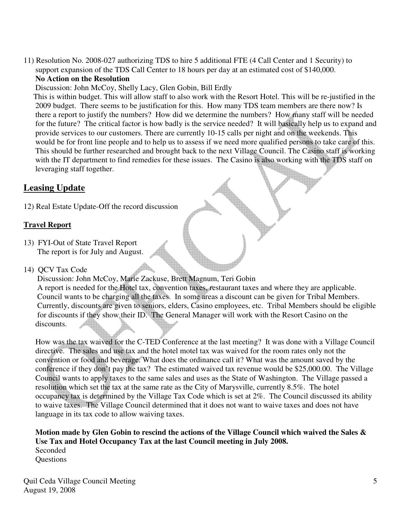11) Resolution No. 2008-027 authorizing TDS to hire 5 additional FTE (4 Call Center and 1 Security) to support expansion of the TDS Call Center to 18 hours per day at an estimated cost of \$140,000. **No Action on the Resolution** 

Discussion: John McCoy, Shelly Lacy, Glen Gobin, Bill Erdly

 This is within budget. This will allow staff to also work with the Resort Hotel. This will be re-justified in the 2009 budget. There seems to be justification for this. How many TDS team members are there now? Is there a report to justify the numbers? How did we determine the numbers? How many staff will be needed for the future? The critical factor is how badly is the service needed? It will basically help us to expand and provide services to our customers. There are currently 10-15 calls per night and on the weekends. This would be for front line people and to help us to assess if we need more qualified persons to take care of this. This should be further researched and brought back to the next Village Council. The Casino staff is working with the IT department to find remedies for these issues. The Casino is also working with the TDS staff on leveraging staff together.

# **Leasing Update**

12) Real Estate Update-Off the record discussion

### **Travel Report**

13) FYI-Out of State Travel Report The report is for July and August.

# 14) QCV Tax Code

 Discussion: John McCoy, Marie Zackuse, Brett Magnum, Teri Gobin A report is needed for the Hotel tax, convention taxes, restaurant taxes and where they are applicable. Council wants to be charging all the taxes. In some areas a discount can be given for Tribal Members. Currently, discounts are given to seniors, elders, Casino employees, etc. Tribal Members should be eligible for discounts if they show their ID. The General Manager will work with the Resort Casino on the discounts.

 How was the tax waived for the C-TED Conference at the last meeting? It was done with a Village Council directive. The sales and use tax and the hotel motel tax was waived for the room rates only not the convention or food and beverage. What does the ordinance call it? What was the amount saved by the conference if they don't pay the tax? The estimated waived tax revenue would be \$25,000.00. The Village Council wants to apply taxes to the same sales and uses as the State of Washington. The Village passed a resolution which set the tax at the same rate as the City of Marysville, currently 8.5%. The hotel occupancy tax is determined by the Village Tax Code which is set at 2%. The Council discussed its ability to waive taxes. The Village Council determined that it does not want to waive taxes and does not have language in its tax code to allow waiving taxes.

 **Motion made by Glen Gobin to rescind the actions of the Village Council which waived the Sales & Use Tax and Hotel Occupancy Tax at the last Council meeting in July 2008.** Seconded **Ouestions**